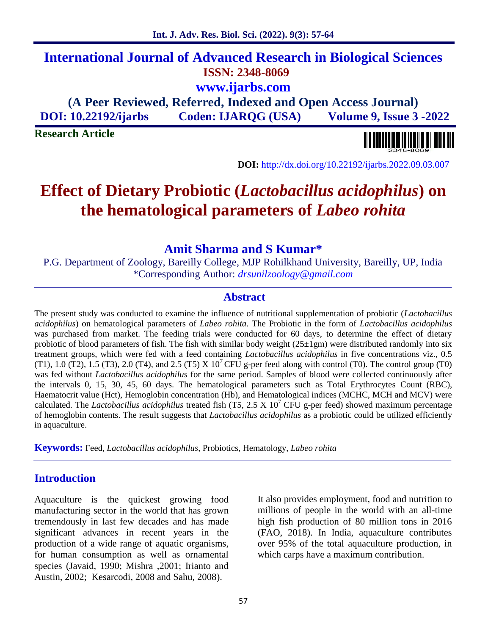57

## **International Journal of Advanced Research in Biological Sciences ISSN: 2348-8069 www.ijarbs.com**

**(A Peer Reviewed, Referred, Indexed and Open Access Journal) DOI: 10.22192/ijarbs Coden: IJARQG (USA) Volume 9, Issue 3 -2022**

**Research Article**

**DOI:** http://dx.doi.org/10.22192/ijarbs.2022.09.03.007

# **Effect of Dietary Probiotic (***Lactobacillus acidophilus***) on the hematological parameters of** *Labeo rohita*

### **Amit Sharma and S Kumar\***

P.G. Department of Zoology, Bareilly College, MJP Rohilkhand University, Bareilly, UP, India \*Corresponding Author: *drsunilzoology@gmail.com*

### **Abstract**

The present study was conducted to examine the influence of nutritional supplementation of probiotic (*Lactobacillus acidophilus*) on hematological parameters of *Labeo rohita*. The Probiotic in the form of *Lactobacillus acidophilus* was purchased from market. The feeding trials were conducted for 60 days, to determine the effect of dietary probiotic of blood parameters of fish. The fish with similar body weight  $(25\pm1gm)$  were distributed randomly into six treatment groups, which were fed with a feed containing *Lactobacillus acidophilus* in five concentrations viz., 0.5 (T1), 1.0 (T2), 1.5 (T3), 2.0 (T4), and 2.5 (T5) X  $10^7$  CFU g-per feed along with control (T0). The control group (T0) was fed without *Lactobacillus acidophilus* for the same period. Samples of blood were collected continuously after the intervals 0, 15, 30, 45, 60 days. The hematological parameters such as Total Erythrocytes Count (RBC), Haematocrit value (Hct), Hemoglobin concentration (Hb), and Hematological indices (MCHC, MCH and MCV) were calculated. The *Lactobacillus acidophilus* treated fish (T5, 2.5 X 10<sup>7</sup> CFU g-per feed) showed maximum percentage of hemoglobin contents. The result suggests that *Lactobacillus acidophilus* as a probiotic could be utilized efficiently in aquaculture.

**Keywords:** Feed, *Lactobacillus acidophilus*, Probiotics, Hematology, *Labeo rohita*

### **Introduction**

Aquaculture is the quickest growing food manufacturing sector in the world that has grown tremendously in last few decades and has made significant advances in recent years in the production of a wide range of aquatic organisms, for human consumption as well as ornamental species (Javaid, 1990; Mishra ,2001; Irianto and Austin, 2002; Kesarcodi, 2008 and Sahu, 2008).

It also provides employment, food and nutrition to millions of people in the world with an all-time high fish production of 80 million tons in 2016 (FAO, 2018). In India, aquaculture contributes over 95% of the total aquaculture production, in which carps have a maximum contribution.

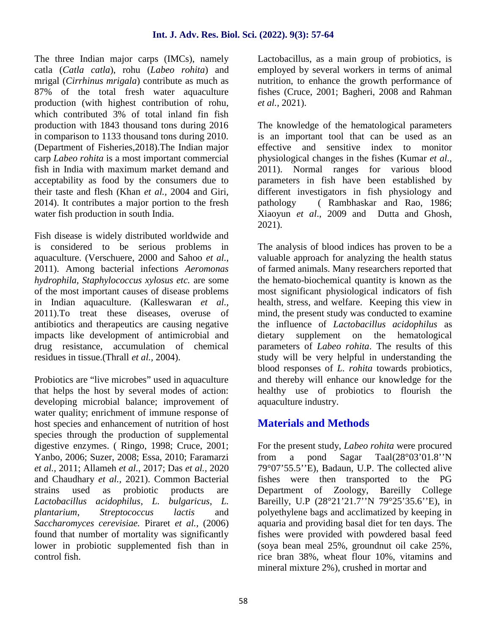The three Indian major carps (IMCs), namely catla (*Catla catla*), rohu (*Labeo rohita*) and mrigal (*Cirrhinus mrigala*) contribute as much as 87% of the total fresh water aquaculture production (with highest contribution of rohu, which contributed 3% of total inland fin fish production with 1843 thousand tons during 2016 in comparison to 1133 thousand tons during 2010. (Department of Fisheries,2018).The Indian major carp *Labeo rohita* is a most important commercial fish in India with maximum market demand and acceptability as food by the consumers due to their taste and flesh (Khan *et al.,* 2004 and Giri, 2014). It contributes a major portion to the fresh pathology water fish production in south India.

Fish disease is widely distributed worldwide and is considered to be serious problems in aquaculture. (Verschuere, 2000 and Sahoo *et al.,* 2011). Among bacterial infections *Aeromonas hydrophila, Staphylococcus xylosus etc.* are some of the most important causes of disease problems in Indian aquaculture. (Kalleswaran *et al.,* 2011).To treat these diseases, overuse of antibiotics and therapeutics are causing negative impacts like development of antimicrobial and drug resistance, accumulation of chemical residues in tissue.(Thrall *et al.,* 2004).

Probiotics are "live microbes" used in aquaculture that helps the host by several modes of action: developing microbial balance; improvement of water quality; enrichment of immune response of host species and enhancement of nutrition of host species through the production of supplemental digestive enzymes. ( Ringo, 1998; Cruce, 2001; Yanbo, 2006; Suzer, 2008; Essa, 2010; Faramarzi *et al.,* 2011; Allameh *et al.,* 2017; Das *et al.,* 2020 and Chaudhary *et al.,* 2021). Common Bacterial strains used as probiotic products are *Lactobacillus acidophilus*, *L. bulgaricus*, *L. plantarium*, *Streptococcus lactis* and *Saccharomyces cerevisiae.* Piraret *et al.,* (2006) found that number of mortality was significantly lower in probiotic supplemented fish than in control fish.

Lactobacillus, as a main group of probiotics, is employed by several workers in terms of animal nutrition, to enhance the growth performance of fishes (Cruce, 2001; Bagheri, 2008 and Rahman *et al.,* 2021).

The knowledge of the hematological parameters is an important tool that can be used as an effective and sensitive index to monitor physiological changes in the fishes (Kumar *et al.,* 2011). Normal ranges for various blood parameters in fish have been established by different investigators in fish physiology and (Rambhaskar and Rao, 1986; Xiaoyun *et al*., 2009 and Dutta and Ghosh, 2021).

The analysis of blood indices has proven to be a valuable approach for analyzing the health status of farmed animals. Many researchers reported that the hemato-biochemical quantity is known as the most significant physiological indicators of fish health, stress, and welfare. Keeping this view in mind, the present study was conducted to examine the influence of *Lactobacillus acidophilus* as supplement on the hematological parameters of *Labeo rohita*. The results of this study will be very helpful in understanding the blood responses of *L. rohita* towards probiotics, and thereby will enhance our knowledge for the healthy use of probiotics to flourish the aquaculture industry.

### **Materials and Methods**

For the present study, *Labeo rohita* were procured from a pond Sagar Taal(28°03'01.8''N 79°07'55.5''E), Badaun, U.P. The collected alive fishes were then transported to the PG Department of Zoology, Bareilly College Bareilly, U.P (28°21'21.7''N 79°25'35.6''E), in polyethylene bags and acclimatized by keeping in aquaria and providing basal diet for ten days. The fishes were provided with powdered basal feed (soya bean meal 25%, groundnut oil cake 25%, rice bran 38%, wheat flour 10%, vitamins and mineral mixture 2%), crushed in mortar and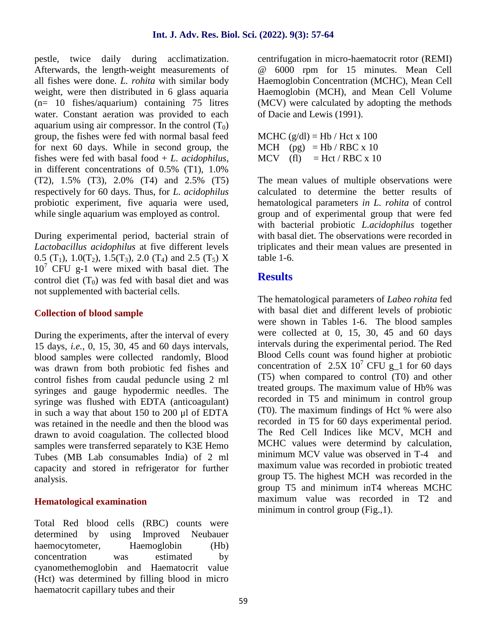pestle, twice daily during acclimatization. Afterwards, the length-weight measurements of all fishes were done. *L. rohita* with similar body weight, were then distributed in 6 glass aquaria (n= 10 fishes/aquarium) containing 75 litres water. Constant aeration was provided to each aquarium using air compressor. In the control  $(T_0)$ group, the fishes were fed with normal basal feed for next 60 days. While in second group, the fishes were fed with basal food + *L. acidophilus*, in different concentrations of 0.5% (T1), 1.0% (T2), 1.5% (T3), 2.0% (T4) and 2.5% (T5) respectively for 60 days. Thus, for *L. acidophilus* probiotic experiment, five aquaria were used, while single aquarium was employed as control.

During experimental period, bacterial strain of *Lactobacillus acidophilus* at five different levels 0.5 (T<sub>1</sub>), 1.0(T<sub>2</sub>), 1.5(T<sub>3</sub>), 2.0 (T<sub>4</sub>) and 2.5 (T<sub>5</sub>) X  $10<sup>7</sup>$  CFU g-1 were mixed with basal diet. The control diet  $(T_0)$  was fed with basal diet and was not supplemented with bacterial cells.

#### **Collection of blood sample**

During the experiments, after the interval of every 15 days, *i.e.*, 0, 15, 30, 45 and 60 days intervals, blood samples were collected randomly, Blood was drawn from both probiotic fed fishes and control fishes from caudal peduncle using 2 ml syringes and gauge hypodermic needles. The syringe was flushed with EDTA (anticoagulant) in such a way that about 150 to 200 μl of EDTA was retained in the needle and then the blood was drawn to avoid coagulation. The collected blood samples were transferred separately to K3E Hemo Tubes (MB Lab consumables India) of 2 ml capacity and stored in refrigerator for further analysis.

#### **Hematological examination**

Total Red blood cells (RBC) counts were determined by using Improved Neubauer haemocytometer, Haemoglobin (Hb) concentration was estimated by cyanomethemoglobin and Haematocrit value (Hct) was determined by filling blood in micro haematocrit capillary tubes and their

centrifugation in micro-haematocrit rotor (REMI) @ 6000 rpm for 15 minutes. Mean Cell Haemoglobin Concentration (MCHC), Mean Cell Haemoglobin (MCH), and Mean Cell Volume (MCV) were calculated by adopting the methods of Dacie and Lewis (1991).

 $MCHC (g/dl) = Hb / Hct x 100$ MCH (pg)  $=$  Hb / RBC x 10  $MCV$  (fl) = Hct / RBC x 10

The mean values of multiple observations were calculated to determine the better results of hematological parameters *in L. rohita* of control group and of experimental group that were fed with bacterial probiotic *L.acidophilus* together with basal diet. The observations were recorded in triplicates and their mean values are presented in table 1-6.

### **Results**

The hematological parameters of *Labeo rohita* fed with basal diet and different levels of probiotic were shown in Tables 1-6. The blood samples were collected at 0, 15, 30, 45 and 60 days intervals during the experimental period. The Red Blood Cells count was found higher at probiotic concentration of  $2.5X\ 10^7$  CFU g\_1 for 60 days (T5) when compared to control (T0) and other treated groups. The maximum value of Hb% was recorded in T5 and minimum in control group (T0). The maximum findings of Hct % were also recorded in T5 for 60 days experimental period. The Red Cell Indices like MCV, MCH and MCHC values were determind by calculation, minimum MCV value was observed in T-4 and maximum value was recorded in probiotic treated group T5. The highest MCH was recorded in the group T5 and minimum inT4 whereas MCHC maximum value was recorded in T2 and minimum in control group (Fig., 1).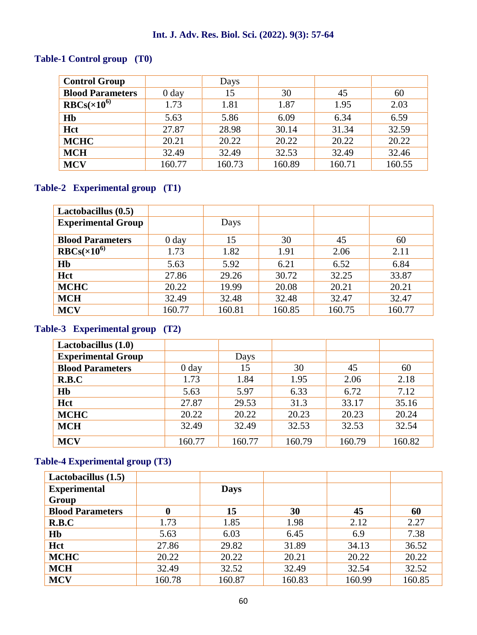### **Int. J. Adv. Res. Biol. Sci. (2022). 9(3): 57-64**

### **Table-1 Control group (T0)**

| <b>Control Group</b>    |            | Days   |        |        |        |
|-------------------------|------------|--------|--------|--------|--------|
| <b>Blood Parameters</b> | $0 \, day$ | 15     | 30     | 45     | 60     |
| $RBCs(\times 10^{6})$   | 1.73       | 1.81   | 1.87   | 1.95   | 2.03   |
| H <sub>b</sub>          | 5.63       | 5.86   | 6.09   | 6.34   | 6.59   |
| Hct                     | 27.87      | 28.98  | 30.14  | 31.34  | 32.59  |
| <b>MCHC</b>             | 20.21      | 20.22  | 20.22  | 20.22  | 20.22  |
| <b>MCH</b>              | 32.49      | 32.49  | 32.53  | 32.49  | 32.46  |
| <b>MCV</b>              | 160.77     | 160.73 | 160.89 | 160.71 | 160.55 |

### **Table-2 Experimental group (T1)**

| Lactobacillus $(0.5)$     |            |        |        |        |        |
|---------------------------|------------|--------|--------|--------|--------|
| <b>Experimental Group</b> |            | Days   |        |        |        |
| <b>Blood Parameters</b>   | $0 \, day$ | 15     | 30     | 45     | 60     |
| $RBCs(\times 10^{6})$     | 1.73       | 1.82   | 1.91   | 2.06   | 2.11   |
| Hb                        | 5.63       | 5.92   | 6.21   | 6.52   | 6.84   |
| Hct                       | 27.86      | 29.26  | 30.72  | 32.25  | 33.87  |
| <b>MCHC</b>               | 20.22      | 19.99  | 20.08  | 20.21  | 20.21  |
| <b>MCH</b>                | 32.49      | 32.48  | 32.48  | 32.47  | 32.47  |
| <b>MCV</b>                | 160.77     | 160.81 | 160.85 | 160.75 | 160.77 |

### **Table-3 Experimental group (T2)**

| Lactobacillus (1.0)       |                  |        |        |        |        |
|---------------------------|------------------|--------|--------|--------|--------|
| <b>Experimental Group</b> |                  | Days   |        |        |        |
| <b>Blood Parameters</b>   | 0 <sub>day</sub> | 15     | 30     | 45     | 60     |
| R.B.C                     | 1.73             | 1.84   | 1.95   | 2.06   | 2.18   |
| Hb                        | 5.63             | 5.97   | 6.33   | 6.72   | 7.12   |
| Hct                       | 27.87            | 29.53  | 31.3   | 33.17  | 35.16  |
| <b>MCHC</b>               | 20.22            | 20.22  | 20.23  | 20.23  | 20.24  |
| <b>MCH</b>                | 32.49            | 32.49  | 32.53  | 32.53  | 32.54  |
| <b>MCV</b>                | 160.77           | 160.77 | 160.79 | 160.79 | 160.82 |

### **Table-4 Experimental group (T3)**

| Lactobacillus $(1.5)$   |        |             |        |        |        |
|-------------------------|--------|-------------|--------|--------|--------|
| <b>Experimental</b>     |        | <b>Days</b> |        |        |        |
| Group                   |        |             |        |        |        |
| <b>Blood Parameters</b> | 0      | 15          | 30     | 45     | 60     |
| R.B.C                   | 1.73   | 1.85        | 1.98   | 2.12   | 2.27   |
| Hb                      | 5.63   | 6.03        | 6.45   | 6.9    | 7.38   |
| Hct                     | 27.86  | 29.82       | 31.89  | 34.13  | 36.52  |
| <b>MCHC</b>             | 20.22  | 20.22       | 20.21  | 20.22  | 20.22  |
| <b>MCH</b>              | 32.49  | 32.52       | 32.49  | 32.54  | 32.52  |
| <b>MCV</b>              | 160.78 | 160.87      | 160.83 | 160.99 | 160.85 |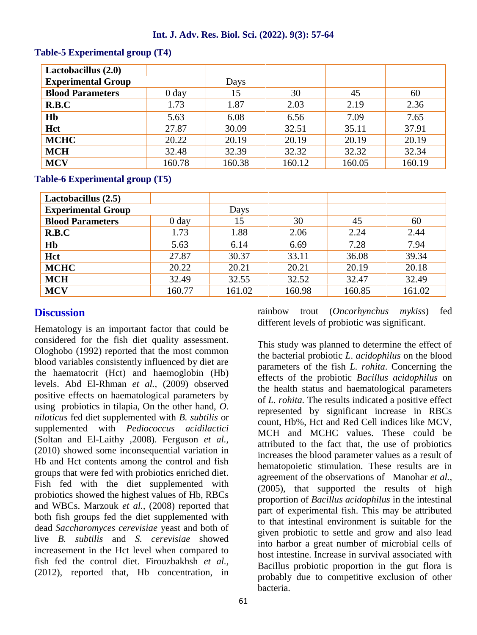#### **Int. J. Adv. Res. Biol. Sci. (2022). 9(3): 57-64**

| Lactobacillus $(2.0)$     |                  |        |        |        |        |
|---------------------------|------------------|--------|--------|--------|--------|
| <b>Experimental Group</b> |                  | Days   |        |        |        |
| <b>Blood Parameters</b>   | 0 <sub>day</sub> | 15     | 30     | 45     | 60     |
| R.B.C                     | 1.73             | 1.87   | 2.03   | 2.19   | 2.36   |
| H <sub>b</sub>            | 5.63             | 6.08   | 6.56   | 7.09   | 7.65   |
| Hct                       | 27.87            | 30.09  | 32.51  | 35.11  | 37.91  |
| <b>MCHC</b>               | 20.22            | 20.19  | 20.19  | 20.19  | 20.19  |
| <b>MCH</b>                | 32.48            | 32.39  | 32.32  | 32.32  | 32.34  |
| <b>MCV</b>                | 160.78           | 160.38 | 160.12 | 160.05 | 160.19 |

#### **Table-5 Experimental group (T4)**

**Table-6 Experimental group (T5)**

| Lactobacillus (2.5)       |                  |        |        |        |        |
|---------------------------|------------------|--------|--------|--------|--------|
| <b>Experimental Group</b> |                  | Days   |        |        |        |
| <b>Blood Parameters</b>   | 0 <sub>day</sub> | 15     | 30     | 45     | 60     |
| R.B.C                     | 1.73             | 1.88   | 2.06   | 2.24   | 2.44   |
| H <sub>b</sub>            | 5.63             | 6.14   | 6.69   | 7.28   | 7.94   |
| Hct                       | 27.87            | 30.37  | 33.11  | 36.08  | 39.34  |
| <b>MCHC</b>               | 20.22            | 20.21  | 20.21  | 20.19  | 20.18  |
| <b>MCH</b>                | 32.49            | 32.55  | 32.52  | 32.47  | 32.49  |
| <b>MCV</b>                | 160.77           | 161.02 | 160.98 | 160.85 | 161.02 |

### **Discussion**

Hematology is an important factor that could be considered for the fish diet quality assessment. Ologhobo (1992) reported that the most common blood variables consistently influenced by diet are the haematocrit (Hct) and haemoglobin (Hb) levels. Abd El-Rhman *et al.,* (2009) observed positive effects on haematological parameters by using probiotics in tilapia, On the other hand, *O. niloticus* fed diet supplemented with *B. subtilis* or supplemented with *Pediococcus acidilactici* (Soltan and El-Laithy ,2008). Ferguson *et al.,* (2010) showed some inconsequential variation in Hb and Hct contents among the control and fish groups that were fed with probiotics enriched diet. Fish fed with the diet supplemented with probiotics showed the highest values of Hb, RBCs and WBCs. Marzouk *et al.,* (2008) reported that both fish groups fed the diet supplemented with dead *Saccharomyces cerevisiae* yeast and both of live *B. subtilis* and *S. cerevisiae* showed increasement in the Hct level when compared to fish fed the control diet. Firouzbakhsh *et al.,* (2012), reported that, Hb concentration, in rainbow trout (*Oncorhynchus mykiss*) fed different levels of probiotic was significant.

This study was planned to determine the effect of the bacterial probiotic *L*. *acidophilus* on the blood parameters of the fish *L. rohita*. Concerning the effects of the probiotic *Bacillus acidophilus* on the health status and haematological parameters of *L. rohita.* The results indicated a positive effect represented by significant increase in RBCs count, Hb%, Hct and Red Cell indices like MCV, MCH and MCHC values. These could be attributed to the fact that, the use of probiotics increases the blood parameter values as a result of hematopoietic stimulation. These results are in agreement of the observations of Manohar *et al.,* (2005), that supported the results of high proportion of *Bacillus acidophilus* in the intestinal part of experimental fish. This may be attributed to that intestinal environment is suitable for the given probiotic to settle and grow and also lead into harbor a great number of microbial cells of host intestine. Increase in survival associated with Bacillus probiotic proportion in the gut flora is probably due to competitive exclusion of other bacteria.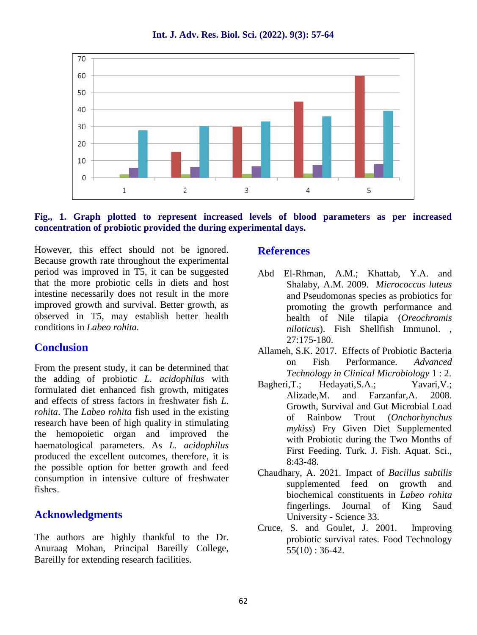70 60 50 40 30  $20$ 10  $\mathbf{O}$  $\overline{2}$ 3 5  $\mathbf 1$  $\overline{a}$ 

**Int. J. Adv. Res. Biol. Sci. (2022). 9(3): 57-64**

#### **Fig., 1. Graph plotted to represent increased levels of blood parameters as per increased concentration of probiotic provided the during experimental days.**

However, this effect should not be ignored. Because growth rate throughout the experimental period was improved in T5, it can be suggested that the more probiotic cells in diets and host intestine necessarily does not result in the more improved growth and survival. Better growth, as observed in T5, may establish better health conditions in *Labeo rohita.*

### **Conclusion**

From the present study, it can be determined that the adding of probiotic *L. acidophilus* with formulated diet enhanced fish growth, mitigates and effects of stress factors in freshwater fish *L. rohita*. The *Labeo rohita* fish used in the existing research have been of high quality in stimulating the hemopoietic organ and improved the haematological parameters. As *L. acidophilus* produced the excellent outcomes, therefore, it is the possible option for better growth and feed consumption in intensive culture of freshwater fishes.

### **Acknowledgments**

The authors are highly thankful to the Dr. Anuraag Mohan, Principal Bareilly College, Bareilly for extending research facilities.

#### **References**

- Abd El-Rhman, A.M.; Khattab, Y.A. and Shalaby, A.M. 2009. *Micrococcus luteus* and Pseudomonas species as probiotics for promoting the growth performance and health of Nile tilapia (*Oreochromis niloticus*). Fish Shellfish Immunol. , 27:175-180.
- Allameh, S.K. 2017. Effects of Probiotic Bacteria on Fish Performance. *Advanced Technology in Clinical Microbiology* 1 : 2.
- Hedayati,S.A.; Yavari, V.; Alizade,M. and Farzanfar,A. 2008. Growth, Survival and Gut Microbial Load of Rainbow Trout (*Onchorhynchus mykiss*) Fry Given Diet Supplemented with Probiotic during the Two Months of First Feeding. Turk. J. Fish. Aquat. Sci., 8:43-48.
- Chaudhary, A. 2021*.* Impact of *Bacillus subtilis* supplemented feed on growth and biochemical constituents in *Labeo rohita* fingerlings. Journal of King Saud University - Science 33.
- Cruce, S. and Goulet, J. 2001. Improving probiotic survival rates. Food Technology  $55(10): 36-42.$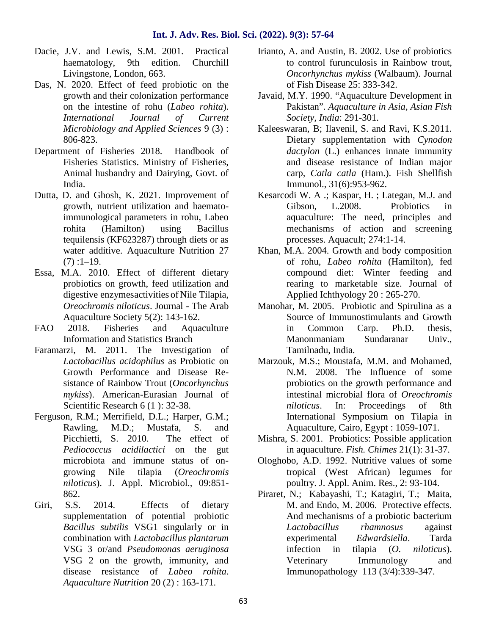- Dacie, J.V. and Lewis, S.M. 2001. Practical haematology, 9th edition. Churchill Livingstone, London, 663.
- Das, N. 2020. Effect of feed probiotic on the growth and their colonization performance on the intestine of rohu (*Labeo rohita*). *International Journal of Current Microbiology and Applied Sciences* 9 (3) : 806-823.
- Department of Fisheries 2018. Handbook of Fisheries Statistics. Ministry of Fisheries, Animal husbandry and Dairying, Govt. of India.
- Dutta, D. and Ghosh, K. 2021. Improvement of growth, nutrient utilization and haematoimmunological parameters in rohu, Labeo rohita (Hamilton) using Bacillus tequilensis (KF623287) through diets or as water additive. Aquaculture Nutrition 27  $(7)$ : 1–19.
- Essa, M.A. 2010. Effect of different dietary probiotics on growth, feed utilization and digestive enzymesactivities of Nile Tilapia, *Oreochromis niloticus*. Journal - The Arab Aquaculture Society 5(2): 143-162.
- FAO 2018. Fisheries and Aquaculture Information and Statistics Branch
- Faramarzi, M. 2011. The Investigation of *Lactobacillus acidophilus* as Probiotic on Growth Performance and Disease Re sistance of Rainbow Trout (*Oncorhynchus mykiss*). American-Eurasian Journal of Scientific Research 6 (1): 32-38.
- Ferguson, R.M.; Merrifield, D.L.; Harper, G.M.; Rawling, M.D.; Mustafa, S. and Picchietti, S. 2010. The effect of *Pediococcus acidilactici* on the gut microbiota and immune status of on growing Nile tilapia (*Oreochromis niloticus*). J. Appl. Microbiol., 09:851- 862.
- Giri, S.S. 2014. Effects of dietary supplementation of potential probiotic *Bacillus subtilis* VSG1 singularly or in combination with *Lactobacillus plantarum* VSG 3 or/and *Pseudomonas aeruginosa* VSG 2 on the growth, immunity, and disease resistance of *Labeo rohita*. *Aquaculture Nutrition* 20 (2) : 163-171.
- Irianto, A. and Austin, B. 2002. Use of probiotics to control furunculosis in Rainbow trout, *Oncorhynchus mykiss* (Walbaum). Journal of Fish Disease 25: 333-342.
- Javaid, M.Y. 1990. "Aquaculture Development in Pakistan". *Aquaculture in Asia, Asian Fish Society, India*: 291-301.
- Kaleeswaran, B; Ilavenil, S. and Ravi, K.S.2011. Dietary supplementation with *Cynodon dactylon* (L.) enhances innate immunity and disease resistance of Indian major carp, *Catla catla* (Ham.). Fish Shellfish Immunol., 31(6):953-962.
- Kesarcodi W. A .; Kaspar, H. ; Lategan, M.J. and Gibson, L.2008. Probiotics in aquaculture: The need, principles and mechanisms of action and screening processes. Aquacult; 274:1-14.
- Khan, M.A. 2004. Growth and body composition of rohu, *Labeo rohita* (Hamilton), fed compound diet: Winter feeding and rearing to marketable size. Journal of Applied Ichthyology 20 : 265-270.
- Manohar, M. 2005. Probiotic and Spirulina as a Source of Immunostimulants and Growth in Common Carp. Ph.D. thesis, Manonmaniam Sundaranar Univ., Tamilnadu, India.
- Marzouk, M.S.; Moustafa, M.M. and Mohamed, N.M. 2008. The Influence of some probiotics on the growth performance and intestinal microbial flora of *Oreochromis niloticus*. In: Proceedings of 8th International Symposium on Tilapia in Aquaculture, Cairo, Egypt : 1059-1071.
- Mishra, S. 2001. Probiotics: Possible application in aquaculture. *Fish. Chimes* 21(1): 31-37.
- Ologhobo, A.D. 1992. Nutritive values of some tropical (West African) legumes for poultry. J. Appl. Anim. Res., 2: 93-104.
- Piraret, N.; Kabayashi, T.; Katagiri, T.; Maita, M. and Endo, M. 2006. Protective effects. And mechanisms of a probiotic bacterium *Lactobacillus rhamnosus* against experimental *Edwardsiella*. Tarda infection in tilapia (*O. niloticus*). Veterinary Immunology and Immunopathology 113 (3/4):339-347.